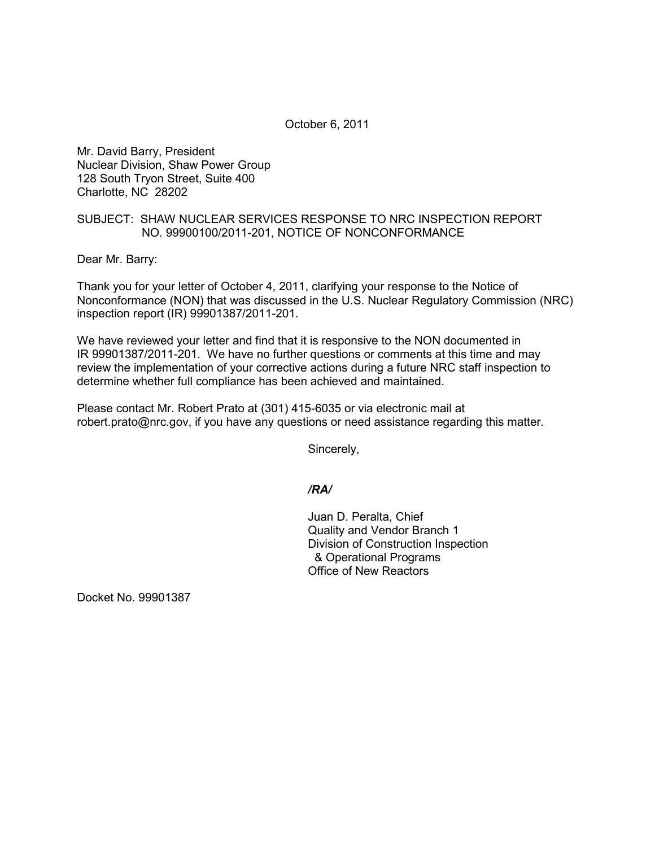October 6, 2011

Mr. David Barry, President Nuclear Division, Shaw Power Group 128 South Tryon Street, Suite 400 Charlotte, NC 28202

## SUBJECT: SHAW NUCLEAR SERVICES RESPONSE TO NRC INSPECTION REPORT NO. 99900100/2011-201, NOTICE OF NONCONFORMANCE

Dear Mr. Barry:

Thank you for your letter of October 4, 2011, clarifying your response to the Notice of Nonconformance (NON) that was discussed in the U.S. Nuclear Regulatory Commission (NRC) inspection report (IR) 99901387/2011-201.

We have reviewed your letter and find that it is responsive to the NON documented in IR 99901387/2011-201. We have no further questions or comments at this time and may review the implementation of your corrective actions during a future NRC staff inspection to determine whether full compliance has been achieved and maintained.

Please contact Mr. Robert Prato at (301) 415-6035 or via electronic mail at robert.prato@nrc.gov, if you have any questions or need assistance regarding this matter.

Sincerely,

## */RA/*

Juan D. Peralta, Chief Quality and Vendor Branch 1 Division of Construction Inspection & Operational Programs Office of New Reactors

Docket No. 99901387